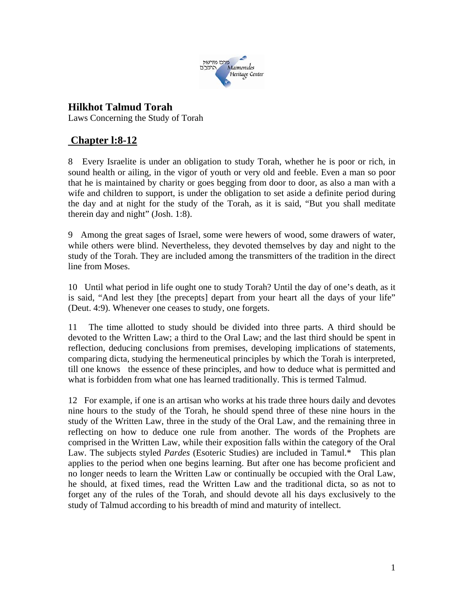

**Hilkhot Talmud Torah**  Laws Concerning the Study of Torah

## **Chapter l:8-12**

8 Every Israelite is under an obligation to study Torah, whether he is poor or rich, in sound health or ailing, in the vigor of youth or very old and feeble. Even a man so poor that he is maintained by charity or goes begging from door to door, as also a man with a wife and children to support, is under the obligation to set aside a definite period during the day and at night for the study of the Torah, as it is said, "But you shall meditate therein day and night" (Josh. 1:8).

9 Among the great sages of Israel, some were hewers of wood, some drawers of water, while others were blind. Nevertheless, they devoted themselves by day and night to the study of the Torah. They are included among the transmitters of the tradition in the direct line from Moses.

10 Until what period in life ought one to study Torah? Until the day of one's death, as it is said, "And lest they [the precepts] depart from your heart all the days of your life" (Deut. 4:9). Whenever one ceases to study, one forgets.

11 The time allotted to study should be divided into three parts. A third should be devoted to the Written Law; a third to the Oral Law; and the last third should be spent in reflection, deducing conclusions from premises, developing implications of statements, comparing dicta, studying the hermeneutical principles by which the Torah is interpreted, till one knows the essence of these principles, and how to deduce what is permitted and what is forbidden from what one has learned traditionally. This is termed Talmud.

12 For example, if one is an artisan who works at his trade three hours daily and devotes nine hours to the study of the Torah, he should spend three of these nine hours in the study of the Written Law, three in the study of the Oral Law, and the remaining three in reflecting on how to deduce one rule from another. The words of the Prophets are comprised in the Written Law, while their exposition falls within the category of the Oral Law. The subjects styled *Pardes* (Esoteric Studies) are included in Tamul.\* This plan applies to the period when one begins learning. But after one has become proficient and no longer needs to learn the Written Law or continually be occupied with the Oral Law, he should, at fixed times, read the Written Law and the traditional dicta, so as not to forget any of the rules of the Torah, and should devote all his days exclusively to the study of Talmud according to his breadth of mind and maturity of intellect.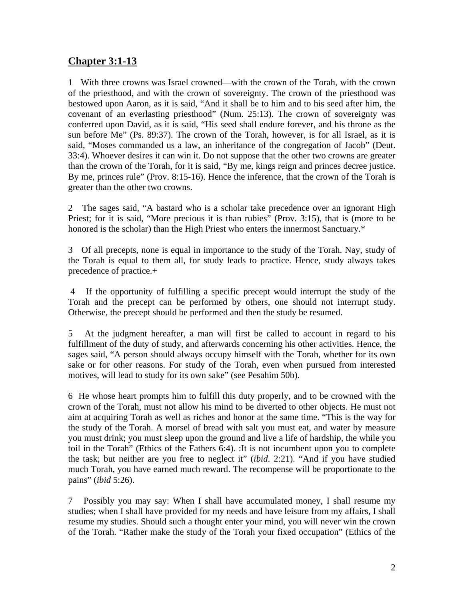## **Chapter 3:1-13**

1 With three crowns was Israel crowned—with the crown of the Torah, with the crown of the priesthood, and with the crown of sovereignty. The crown of the priesthood was bestowed upon Aaron, as it is said, "And it shall be to him and to his seed after him, the covenant of an everlasting priesthood" (Num. 25:13). The crown of sovereignty was conferred upon David, as it is said, "His seed shall endure forever, and his throne as the sun before Me" (Ps. 89:37). The crown of the Torah, however, is for all Israel, as it is said, "Moses commanded us a law, an inheritance of the congregation of Jacob" (Deut. 33:4). Whoever desires it can win it. Do not suppose that the other two crowns are greater than the crown of the Torah, for it is said, "By me, kings reign and princes decree justice. By me, princes rule" (Prov. 8:15-16). Hence the inference, that the crown of the Torah is greater than the other two crowns.

2 The sages said, "A bastard who is a scholar take precedence over an ignorant High Priest; for it is said, "More precious it is than rubies" (Prov. 3:15), that is (more to be honored is the scholar) than the High Priest who enters the innermost Sanctuary.\*

3 Of all precepts, none is equal in importance to the study of the Torah. Nay, study of the Torah is equal to them all, for study leads to practice. Hence, study always takes precedence of practice.+

 4 If the opportunity of fulfilling a specific precept would interrupt the study of the Torah and the precept can be performed by others, one should not interrupt study. Otherwise, the precept should be performed and then the study be resumed.

5 At the judgment hereafter, a man will first be called to account in regard to his fulfillment of the duty of study, and afterwards concerning his other activities. Hence, the sages said, "A person should always occupy himself with the Torah, whether for its own sake or for other reasons. For study of the Torah, even when pursued from interested motives, will lead to study for its own sake" (see Pesahim 50b).

6 He whose heart prompts him to fulfill this duty properly, and to be crowned with the crown of the Torah, must not allow his mind to be diverted to other objects. He must not aim at acquiring Torah as well as riches and honor at the same time. "This is the way for the study of the Torah. A morsel of bread with salt you must eat, and water by measure you must drink; you must sleep upon the ground and live a life of hardship, the while you toil in the Torah" (Ethics of the Fathers 6:4). :It is not incumbent upon you to complete the task; but neither are you free to neglect it" (*ibid*. 2:21). "And if you have studied much Torah, you have earned much reward. The recompense will be proportionate to the pains" (*ibid* 5:26).

7 Possibly you may say: When I shall have accumulated money, I shall resume my studies; when I shall have provided for my needs and have leisure from my affairs, I shall resume my studies. Should such a thought enter your mind, you will never win the crown of the Torah. "Rather make the study of the Torah your fixed occupation" (Ethics of the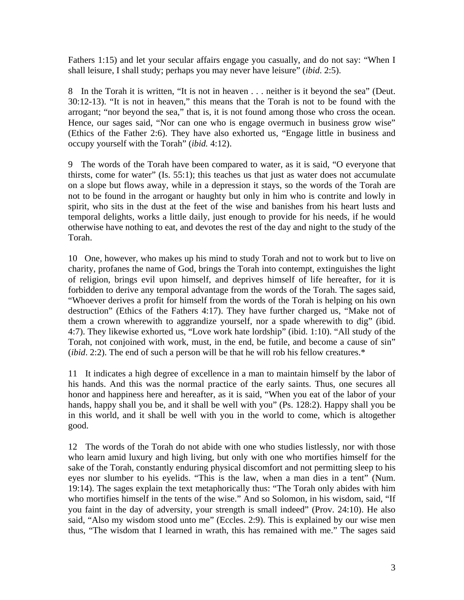Fathers 1:15) and let your secular affairs engage you casually, and do not say: "When I shall leisure, I shall study; perhaps you may never have leisure" (*ibid*. 2:5).

8 In the Torah it is written, "It is not in heaven . . . neither is it beyond the sea" (Deut. 30:12-13). "It is not in heaven," this means that the Torah is not to be found with the arrogant; "nor beyond the sea," that is, it is not found among those who cross the ocean. Hence, our sages said, "Nor can one who is engage overmuch in business grow wise" (Ethics of the Father 2:6). They have also exhorted us, "Engage little in business and occupy yourself with the Torah" (*ibid.* 4:12).

9 The words of the Torah have been compared to water, as it is said, "O everyone that thirsts, come for water" (Is. 55:1); this teaches us that just as water does not accumulate on a slope but flows away, while in a depression it stays, so the words of the Torah are not to be found in the arrogant or haughty but only in him who is contrite and lowly in spirit, who sits in the dust at the feet of the wise and banishes from his heart lusts and temporal delights, works a little daily, just enough to provide for his needs, if he would otherwise have nothing to eat, and devotes the rest of the day and night to the study of the Torah.

10 One, however, who makes up his mind to study Torah and not to work but to live on charity, profanes the name of God, brings the Torah into contempt, extinguishes the light of religion, brings evil upon himself, and deprives himself of life hereafter, for it is forbidden to derive any temporal advantage from the words of the Torah. The sages said, "Whoever derives a profit for himself from the words of the Torah is helping on his own destruction" (Ethics of the Fathers 4:17). They have further charged us, "Make not of them a crown wherewith to aggrandize yourself, nor a spade wherewith to dig" (ibid. 4:7). They likewise exhorted us, "Love work hate lordship" (ibid. 1:10). "All study of the Torah, not conjoined with work, must, in the end, be futile, and become a cause of sin" (*ibid.* 2:2). The end of such a person will be that he will rob his fellow creatures.\*

11 It indicates a high degree of excellence in a man to maintain himself by the labor of his hands. And this was the normal practice of the early saints. Thus, one secures all honor and happiness here and hereafter, as it is said, "When you eat of the labor of your hands, happy shall you be, and it shall be well with you" (Ps. 128:2). Happy shall you be in this world, and it shall be well with you in the world to come, which is altogether good.

12 The words of the Torah do not abide with one who studies listlessly, nor with those who learn amid luxury and high living, but only with one who mortifies himself for the sake of the Torah, constantly enduring physical discomfort and not permitting sleep to his eyes nor slumber to his eyelids. "This is the law, when a man dies in a tent" (Num. 19:14). The sages explain the text metaphorically thus: "The Torah only abides with him who mortifies himself in the tents of the wise." And so Solomon, in his wisdom, said, "If you faint in the day of adversity, your strength is small indeed" (Prov. 24:10). He also said, "Also my wisdom stood unto me" (Eccles. 2:9). This is explained by our wise men thus, "The wisdom that I learned in wrath, this has remained with me." The sages said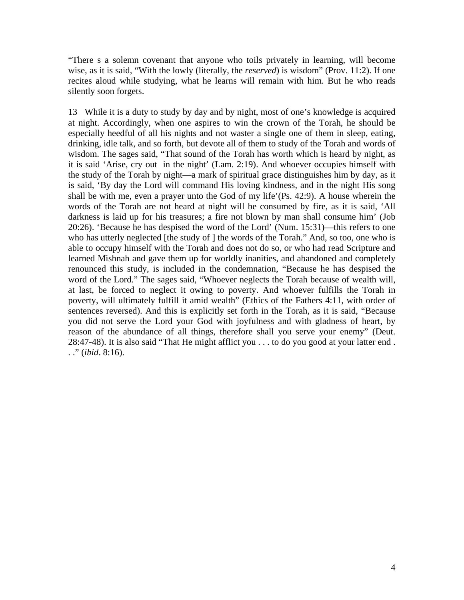"There s a solemn covenant that anyone who toils privately in learning, will become wise, as it is said, "With the lowly (literally, the *reserved*) is wisdom" (Prov. 11:2). If one recites aloud while studying, what he learns will remain with him. But he who reads silently soon forgets.

13 While it is a duty to study by day and by night, most of one's knowledge is acquired at night. Accordingly, when one aspires to win the crown of the Torah, he should be especially heedful of all his nights and not waster a single one of them in sleep, eating, drinking, idle talk, and so forth, but devote all of them to study of the Torah and words of wisdom. The sages said, "That sound of the Torah has worth which is heard by night, as it is said 'Arise, cry out in the night' (Lam. 2:19). And whoever occupies himself with the study of the Torah by night—a mark of spiritual grace distinguishes him by day, as it is said, 'By day the Lord will command His loving kindness, and in the night His song shall be with me, even a prayer unto the God of my life'(Ps. 42:9). A house wherein the words of the Torah are not heard at night will be consumed by fire, as it is said, 'All darkness is laid up for his treasures; a fire not blown by man shall consume him' (Job 20:26). 'Because he has despised the word of the Lord' (Num. 15:31)—this refers to one who has utterly neglected [the study of ] the words of the Torah." And, so too, one who is able to occupy himself with the Torah and does not do so, or who had read Scripture and learned Mishnah and gave them up for worldly inanities, and abandoned and completely renounced this study, is included in the condemnation, "Because he has despised the word of the Lord." The sages said, "Whoever neglects the Torah because of wealth will, at last, be forced to neglect it owing to poverty. And whoever fulfills the Torah in poverty, will ultimately fulfill it amid wealth" (Ethics of the Fathers 4:11, with order of sentences reversed). And this is explicitly set forth in the Torah, as it is said, "Because you did not serve the Lord your God with joyfulness and with gladness of heart, by reason of the abundance of all things, therefore shall you serve your enemy" (Deut. 28:47-48). It is also said "That He might afflict you . . . to do you good at your latter end . . ." (*ibid*. 8:16).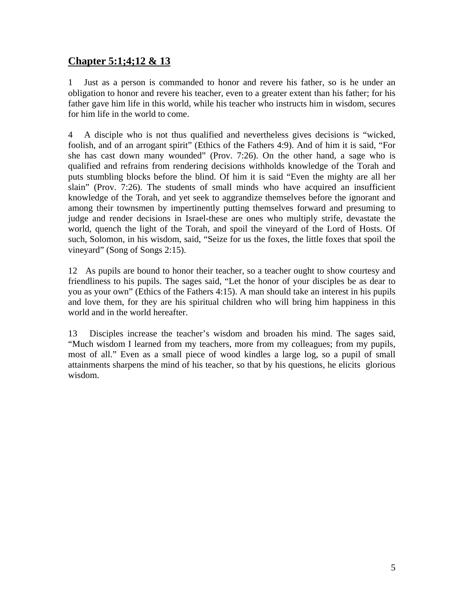## **Chapter 5:1;4;12 & 13**

1 Just as a person is commanded to honor and revere his father, so is he under an obligation to honor and revere his teacher, even to a greater extent than his father; for his father gave him life in this world, while his teacher who instructs him in wisdom, secures for him life in the world to come.

4 A disciple who is not thus qualified and nevertheless gives decisions is "wicked, foolish, and of an arrogant spirit" (Ethics of the Fathers 4:9). And of him it is said, "For she has cast down many wounded" (Prov. 7:26). On the other hand, a sage who is qualified and refrains from rendering decisions withholds knowledge of the Torah and puts stumbling blocks before the blind. Of him it is said "Even the mighty are all her slain" (Prov. 7:26). The students of small minds who have acquired an insufficient knowledge of the Torah, and yet seek to aggrandize themselves before the ignorant and among their townsmen by impertinently putting themselves forward and presuming to judge and render decisions in Israel-these are ones who multiply strife, devastate the world, quench the light of the Torah, and spoil the vineyard of the Lord of Hosts. Of such, Solomon, in his wisdom, said, "Seize for us the foxes, the little foxes that spoil the vineyard" (Song of Songs 2:15).

12 As pupils are bound to honor their teacher, so a teacher ought to show courtesy and friendliness to his pupils. The sages said, "Let the honor of your disciples be as dear to you as your own" (Ethics of the Fathers 4:15). A man should take an interest in his pupils and love them, for they are his spiritual children who will bring him happiness in this world and in the world hereafter.

13 Disciples increase the teacher's wisdom and broaden his mind. The sages said, "Much wisdom I learned from my teachers, more from my colleagues; from my pupils, most of all." Even as a small piece of wood kindles a large log, so a pupil of small attainments sharpens the mind of his teacher, so that by his questions, he elicits glorious wisdom.